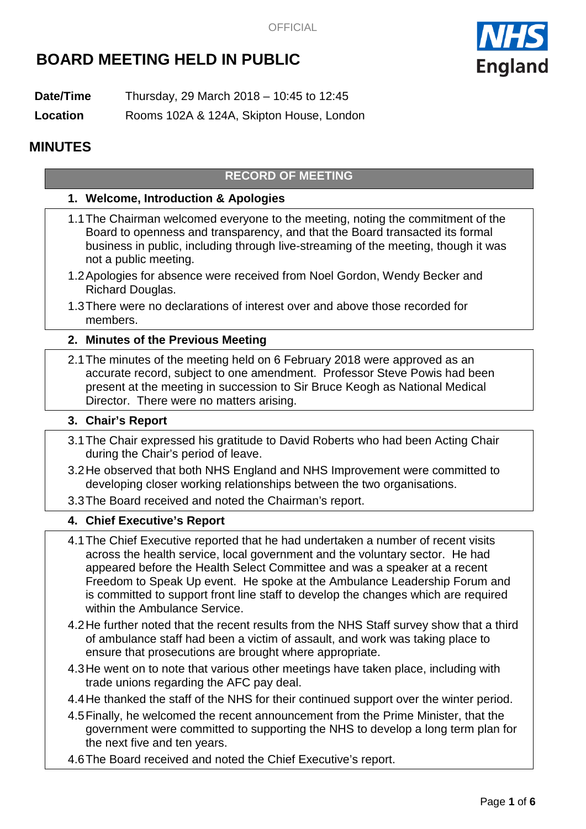# **BOARD MEETING HELD IN PUBLIC**



**Date/Time** Thursday, 29 March 2018 – 10:45 to 12:45

**Location** Rooms 102A & 124A, Skipton House, London

## **MINUTES**

## **RECORD OF MEETING**

#### **1. Welcome, Introduction & Apologies**

- 1.1The Chairman welcomed everyone to the meeting, noting the commitment of the Board to openness and transparency, and that the Board transacted its formal business in public, including through live-streaming of the meeting, though it was not a public meeting.
- 1.2Apologies for absence were received from Noel Gordon, Wendy Becker and Richard Douglas.
- 1.3There were no declarations of interest over and above those recorded for members.

#### **2. Minutes of the Previous Meeting**

2.1The minutes of the meeting held on 6 February 2018 were approved as an accurate record, subject to one amendment. Professor Steve Powis had been present at the meeting in succession to Sir Bruce Keogh as National Medical Director. There were no matters arising.

#### **3. Chair's Report**

- 3.1The Chair expressed his gratitude to David Roberts who had been Acting Chair during the Chair's period of leave.
- 3.2He observed that both NHS England and NHS Improvement were committed to developing closer working relationships between the two organisations.
- 3.3The Board received and noted the Chairman's report.

#### **4. Chief Executive's Report**

- 4.1The Chief Executive reported that he had undertaken a number of recent visits across the health service, local government and the voluntary sector. He had appeared before the Health Select Committee and was a speaker at a recent Freedom to Speak Up event. He spoke at the Ambulance Leadership Forum and is committed to support front line staff to develop the changes which are required within the Ambulance Service.
- 4.2He further noted that the recent results from the NHS Staff survey show that a third of ambulance staff had been a victim of assault, and work was taking place to ensure that prosecutions are brought where appropriate.
- 4.3He went on to note that various other meetings have taken place, including with trade unions regarding the AFC pay deal.
- 4.4He thanked the staff of the NHS for their continued support over the winter period.
- 4.5Finally, he welcomed the recent announcement from the Prime Minister, that the government were committed to supporting the NHS to develop a long term plan for the next five and ten years.
- 4.6The Board received and noted the Chief Executive's report.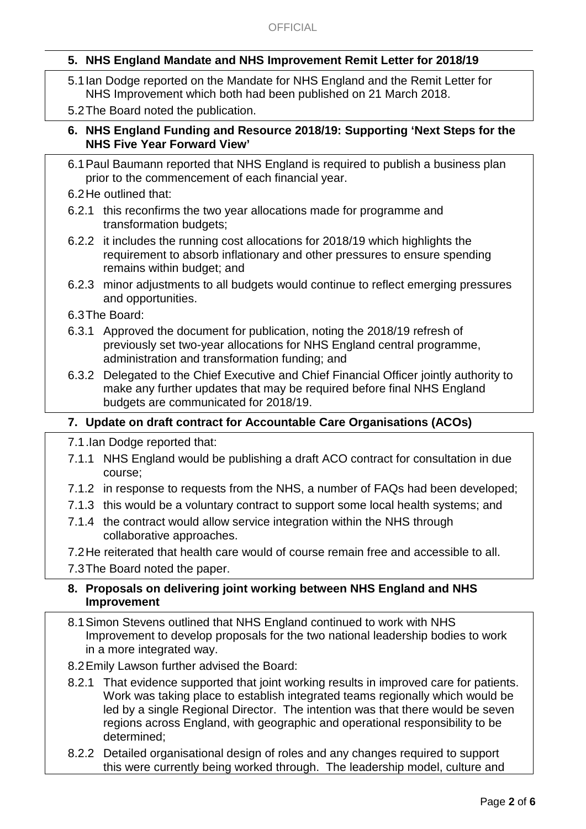## **5. NHS England Mandate and NHS Improvement Remit Letter for 2018/19**

- 5.1Ian Dodge reported on the Mandate for NHS England and the Remit Letter for NHS Improvement which both had been published on 21 March 2018.
- 5.2The Board noted the publication.

## **6. NHS England Funding and Resource 2018/19: Supporting 'Next Steps for the NHS Five Year Forward View'**

- 6.1Paul Baumann reported that NHS England is required to publish a business plan prior to the commencement of each financial year.
- 6.2He outlined that:
- 6.2.1 this reconfirms the two year allocations made for programme and transformation budgets;
- 6.2.2 it includes the running cost allocations for 2018/19 which highlights the requirement to absorb inflationary and other pressures to ensure spending remains within budget; and
- 6.2.3 minor adjustments to all budgets would continue to reflect emerging pressures and opportunities.
- 6.3The Board:
- 6.3.1 Approved the document for publication, noting the 2018/19 refresh of previously set two-year allocations for NHS England central programme, administration and transformation funding; and
- 6.3.2 Delegated to the Chief Executive and Chief Financial Officer jointly authority to make any further updates that may be required before final NHS England budgets are communicated for 2018/19.

## **7. Update on draft contract for Accountable Care Organisations (ACOs)**

7.1.Ian Dodge reported that:

- 7.1.1 NHS England would be publishing a draft ACO contract for consultation in due course;
- 7.1.2 in response to requests from the NHS, a number of FAQs had been developed;
- 7.1.3 this would be a voluntary contract to support some local health systems; and
- 7.1.4 the contract would allow service integration within the NHS through collaborative approaches.
- 7.2He reiterated that health care would of course remain free and accessible to all.

7.3The Board noted the paper.

#### **8. Proposals on delivering joint working between NHS England and NHS Improvement**

- 8.1Simon Stevens outlined that NHS England continued to work with NHS Improvement to develop proposals for the two national leadership bodies to work in a more integrated way.
- 8.2Emily Lawson further advised the Board:
- 8.2.1 That evidence supported that joint working results in improved care for patients. Work was taking place to establish integrated teams regionally which would be led by a single Regional Director. The intention was that there would be seven regions across England, with geographic and operational responsibility to be determined;
- 8.2.2 Detailed organisational design of roles and any changes required to support this were currently being worked through. The leadership model, culture and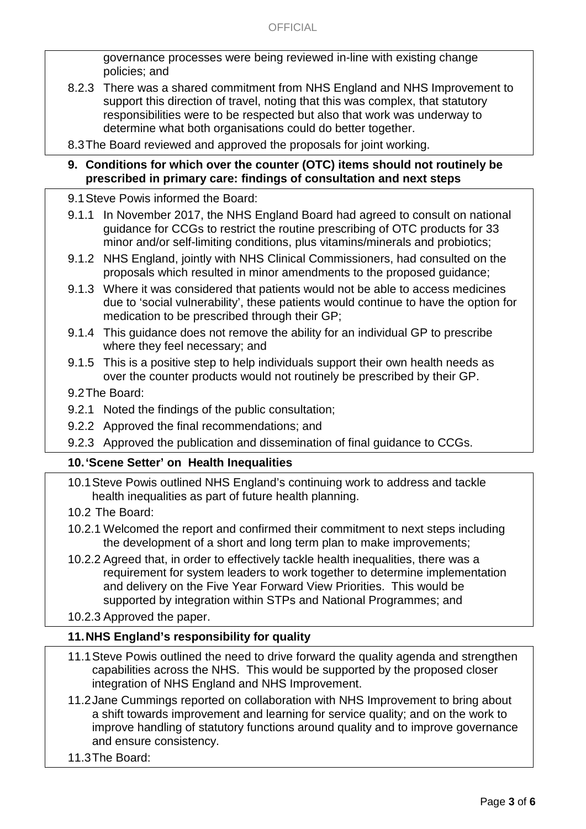governance processes were being reviewed in-line with existing change policies; and

- 8.2.3 There was a shared commitment from NHS England and NHS Improvement to support this direction of travel, noting that this was complex, that statutory responsibilities were to be respected but also that work was underway to determine what both organisations could do better together.
- 8.3The Board reviewed and approved the proposals for joint working.

#### **9. Conditions for which over the counter (OTC) items should not routinely be prescribed in primary care: findings of consultation and next steps**

- 9.1Steve Powis informed the Board:
- 9.1.1 In November 2017, the NHS England Board had agreed to consult on national guidance for CCGs to restrict the routine prescribing of OTC products for 33 minor and/or self-limiting conditions, plus vitamins/minerals and probiotics;
- 9.1.2 NHS England, jointly with NHS Clinical Commissioners, had consulted on the proposals which resulted in minor amendments to the proposed guidance;
- 9.1.3 Where it was considered that patients would not be able to access medicines due to 'social vulnerability', these patients would continue to have the option for medication to be prescribed through their GP;
- 9.1.4 This guidance does not remove the ability for an individual GP to prescribe where they feel necessary; and
- 9.1.5 This is a positive step to help individuals support their own health needs as over the counter products would not routinely be prescribed by their GP.

## 9.2The Board:

- 9.2.1 Noted the findings of the public consultation;
- 9.2.2 Approved the final recommendations; and
- 9.2.3 Approved the publication and dissemination of final guidance to CCGs.

## **10.'Scene Setter' on Health Inequalities**

- 10.1Steve Powis outlined NHS England's continuing work to address and tackle health inequalities as part of future health planning.
- 10.2 The Board:
- 10.2.1 Welcomed the report and confirmed their commitment to next steps including the development of a short and long term plan to make improvements;
- 10.2.2 Agreed that, in order to effectively tackle health inequalities, there was a requirement for system leaders to work together to determine implementation and delivery on the Five Year Forward View Priorities. This would be supported by integration within STPs and National Programmes; and

10.2.3 Approved the paper.

## **11.NHS England's responsibility for quality**

- 11.1Steve Powis outlined the need to drive forward the quality agenda and strengthen capabilities across the NHS. This would be supported by the proposed closer integration of NHS England and NHS Improvement.
- 11.2Jane Cummings reported on collaboration with NHS Improvement to bring about a shift towards improvement and learning for service quality; and on the work to improve handling of statutory functions around quality and to improve governance and ensure consistency.
- 11.3The Board: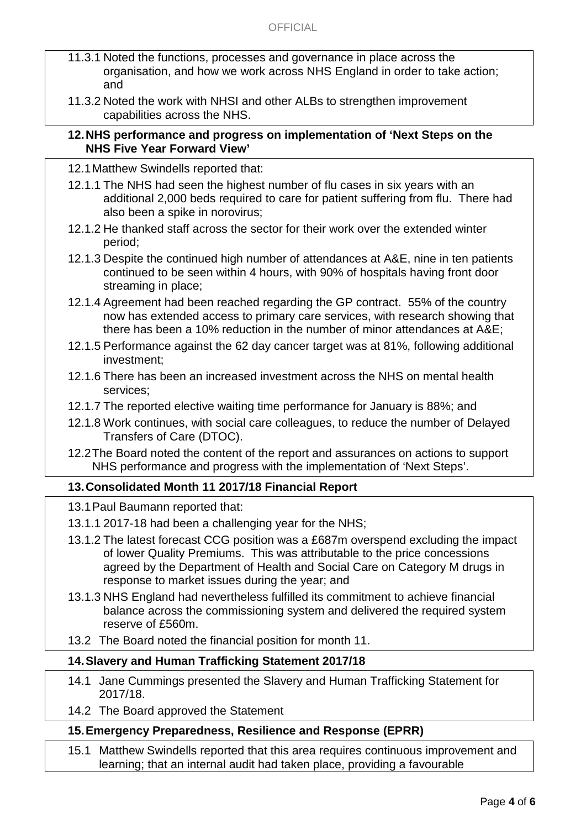- 11.3.1 Noted the functions, processes and governance in place across the organisation, and how we work across NHS England in order to take action; and
- 11.3.2 Noted the work with NHSI and other ALBs to strengthen improvement capabilities across the NHS.

#### **12.NHS performance and progress on implementation of 'Next Steps on the NHS Five Year Forward View'**

- 12.1Matthew Swindells reported that:
- 12.1.1 The NHS had seen the highest number of flu cases in six years with an additional 2,000 beds required to care for patient suffering from flu. There had also been a spike in norovirus;
- 12.1.2 He thanked staff across the sector for their work over the extended winter period;
- 12.1.3 Despite the continued high number of attendances at A&E, nine in ten patients continued to be seen within 4 hours, with 90% of hospitals having front door streaming in place;
- 12.1.4 Agreement had been reached regarding the GP contract. 55% of the country now has extended access to primary care services, with research showing that there has been a 10% reduction in the number of minor attendances at A&E;
- 12.1.5 Performance against the 62 day cancer target was at 81%, following additional investment;
- 12.1.6 There has been an increased investment across the NHS on mental health services;
- 12.1.7 The reported elective waiting time performance for January is 88%; and
- 12.1.8 Work continues, with social care colleagues, to reduce the number of Delayed Transfers of Care (DTOC).
- 12.2The Board noted the content of the report and assurances on actions to support NHS performance and progress with the implementation of 'Next Steps'.

## **13.Consolidated Month 11 2017/18 Financial Report**

- 13.1Paul Baumann reported that:
- 13.1.1 2017-18 had been a challenging year for the NHS;
- 13.1.2 The latest forecast CCG position was a £687m overspend excluding the impact of lower Quality Premiums. This was attributable to the price concessions agreed by the Department of Health and Social Care on Category M drugs in response to market issues during the year; and
- 13.1.3 NHS England had nevertheless fulfilled its commitment to achieve financial balance across the commissioning system and delivered the required system reserve of £560m.
- 13.2 The Board noted the financial position for month 11.

#### **14.Slavery and Human Trafficking Statement 2017/18**

- 14.1 Jane Cummings presented the Slavery and Human Trafficking Statement for 2017/18.
- 14.2 The Board approved the Statement

## **15.Emergency Preparedness, Resilience and Response (EPRR)**

15.1 Matthew Swindells reported that this area requires continuous improvement and learning; that an internal audit had taken place, providing a favourable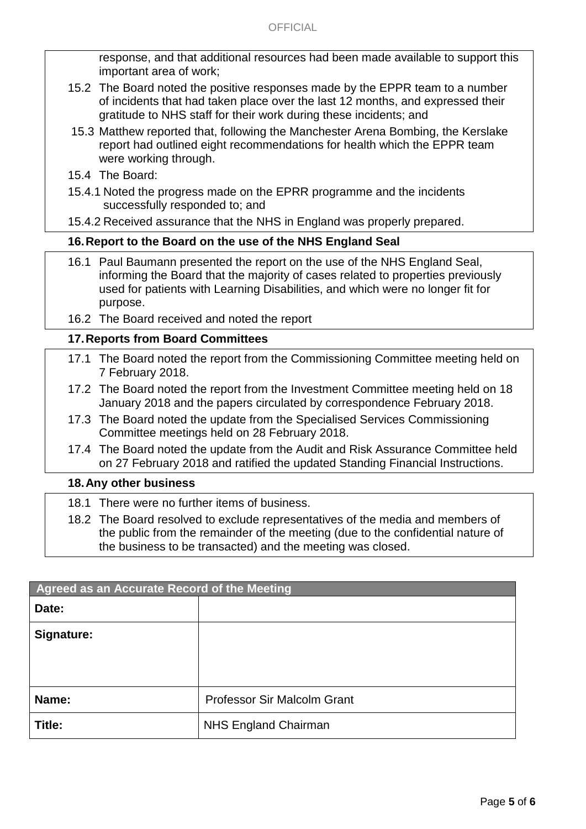response, and that additional resources had been made available to support this important area of work;

- 15.2 The Board noted the positive responses made by the EPPR team to a number of incidents that had taken place over the last 12 months, and expressed their gratitude to NHS staff for their work during these incidents; and
- 15.3 Matthew reported that, following the Manchester Arena Bombing, the Kerslake report had outlined eight recommendations for health which the EPPR team were working through.
- 15.4 The Board:
- 15.4.1 Noted the progress made on the EPRR programme and the incidents successfully responded to; and
- 15.4.2 Received assurance that the NHS in England was properly prepared.

#### **16.Report to the Board on the use of the NHS England Seal**

- 16.1 Paul Baumann presented the report on the use of the NHS England Seal, informing the Board that the majority of cases related to properties previously used for patients with Learning Disabilities, and which were no longer fit for purpose.
- 16.2 The Board received and noted the report

#### **17.Reports from Board Committees**

- 17.1 The Board noted the report from the Commissioning Committee meeting held on 7 February 2018.
- 17.2 The Board noted the report from the Investment Committee meeting held on 18 January 2018 and the papers circulated by correspondence February 2018.
- 17.3 The Board noted the update from the Specialised Services Commissioning Committee meetings held on 28 February 2018.
- 17.4 The Board noted the update from the Audit and Risk Assurance Committee held on 27 February 2018 and ratified the updated Standing Financial Instructions.

#### **18.Any other business**

- 18.1 There were no further items of business.
- 18.2 The Board resolved to exclude representatives of the media and members of the public from the remainder of the meeting (due to the confidential nature of the business to be transacted) and the meeting was closed.

| Agreed as an Accurate Record of the Meeting |                                    |
|---------------------------------------------|------------------------------------|
| Date:                                       |                                    |
| Signature:                                  |                                    |
|                                             |                                    |
|                                             |                                    |
| Name:                                       | <b>Professor Sir Malcolm Grant</b> |
| Title:                                      | <b>NHS England Chairman</b>        |